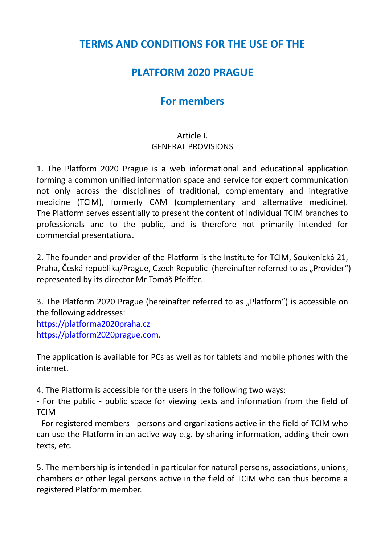## **TERMS AND CONDITIONS FOR THE USE OF THE**

# **PLATFORM 2020 PRAGUE**

# **For members**

### Article I. GENERAL PROVISIONS

1. The Platform 2020 Prague is a web informational and educational application forming a common unified information space and service for expert communication not only across the disciplines of traditional, complementary and integrative medicine (TCIM), formerly CAM (complementary and alternative medicine). The Platform serves essentially to present the content of individual TCIM branches to professionals and to the public, and is therefore not primarily intended for commercial presentations.

2. The founder and provider of the Platform is the Institute for TCIM, Soukenická 21, Praha, Česká republika/Prague, Czech Republic (hereinafter referred to as "Provider") represented by its director Mr Tomáš Pfeiffer.

3. The Platform 2020 Prague (hereinafter referred to as "Platform") is accessible on the following addresses: [https://platforma2020praha.cz](https://platforma2020praha.cz/) [https://platform2020prague.com.](https://platform2020prague.com/)

The application is available for PCs as well as for tablets and mobile phones with the internet.

4. The Platform is accessible for the users in the following two ways:

- For the public - public space for viewing texts and information from the field of **TCIM** 

- For registered members - persons and organizations active in the field of TCIM who can use the Platform in an active way e.g. by sharing information, adding their own texts, etc.

5. The membership is intended in particular for natural persons, associations, unions, chambers or other legal persons active in the field of TCIM who can thus become a registered Platform member.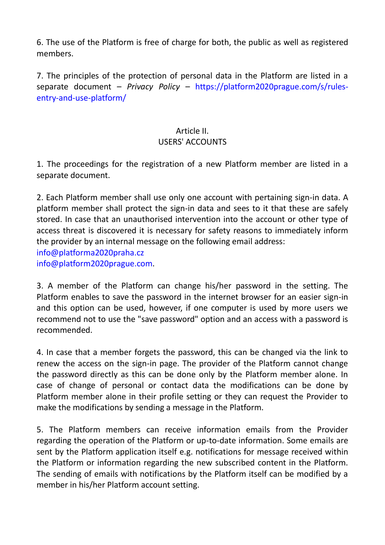6. The use of the Platform is free of charge for both, the public as well as registered members.

7. The principles of the protection of personal data in the Platform are listed in a separate document *– Privacy Policy –* [https://platform2020prague.com/s/rules](https://platform2020prague.com/s/rules-entry-and-use-platform/)[entry-and-use-platform/](https://platform2020prague.com/s/rules-entry-and-use-platform/)

#### Article II. USERS' ACCOUNTS

1. The proceedings for the registration of a new Platform member are listed in a separate document.

2. Each Platform member shall use only one account with pertaining sign-in data. A platform member shall protect the sign-in data and sees to it that these are safely stored. In case that an unauthorised intervention into the account or other type of access threat is discovered it is necessary for safety reasons to immediately inform the provider by an internal message on the following email address: [info@platforma2020praha.cz](mailto:info@platforma2020praha.cz) [info@platform2020prague.com.](mailto:info@platform2020prague.com)

3. A member of the Platform can change his/her password in the setting. The Platform enables to save the password in the internet browser for an easier sign-in and this option can be used, however, if one computer is used by more users we recommend not to use the "save password" option and an access with a password is recommended.

4. In case that a member forgets the password, this can be changed via the link to renew the access on the sign-in page. The provider of the Platform cannot change the password directly as this can be done only by the Platform member alone. In case of change of personal or contact data the modifications can be done by Platform member alone in their profile setting or they can request the Provider to make the modifications by sending a message in the Platform.

5. The Platform members can receive information emails from the Provider regarding the operation of the Platform or up-to-date information. Some emails are sent by the Platform application itself e.g. notifications for message received within the Platform or information regarding the new subscribed content in the Platform. The sending of emails with notifications by the Platform itself can be modified by a member in his/her Platform account setting.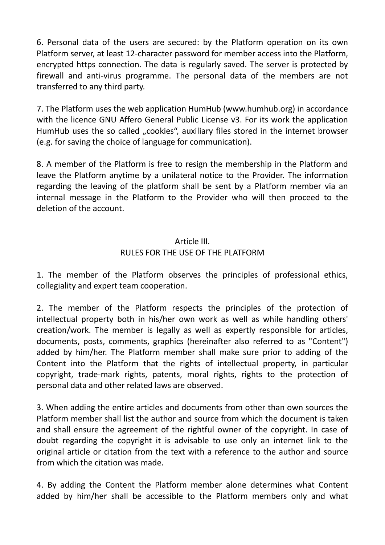6. Personal data of the users are secured: by the Platform operation on its own Platform server, at least 12-character password for member access into the Platform, encrypted https connection. The data is regularly saved. The server is protected by firewall and anti-virus programme. The personal data of the members are not transferred to any third party.

7. The Platform uses the web application HumHub (www.humhub.org) in accordance with the licence GNU Affero General Public License v3. For its work the application HumHub uses the so called "cookies", auxiliary files stored in the internet browser (e.g. for saving the choice of language for communication).

8. A member of the Platform is free to resign the membership in the Platform and leave the Platform anytime by a unilateral notice to the Provider. The information regarding the leaving of the platform shall be sent by a Platform member via an internal message in the Platform to the Provider who will then proceed to the deletion of the account.

#### Article III. RULES FOR THE USE OF THE PLATFORM

1. The member of the Platform observes the principles of professional ethics, collegiality and expert team cooperation.

2. The member of the Platform respects the principles of the protection of intellectual property both in his/her own work as well as while handling others' creation/work. The member is legally as well as expertly responsible for articles, documents, posts, comments, graphics (hereinafter also referred to as "Content") added by him/her. The Platform member shall make sure prior to adding of the Content into the Platform that the rights of intellectual property, in particular copyright, trade-mark rights, patents, moral rights, rights to the protection of personal data and other related laws are observed.

3. When adding the entire articles and documents from other than own sources the Platform member shall list the author and source from which the document is taken and shall ensure the agreement of the rightful owner of the copyright. In case of doubt regarding the copyright it is advisable to use only an internet link to the original article or citation from the text with a reference to the author and source from which the citation was made.

4. By adding the Content the Platform member alone determines what Content added by him/her shall be accessible to the Platform members only and what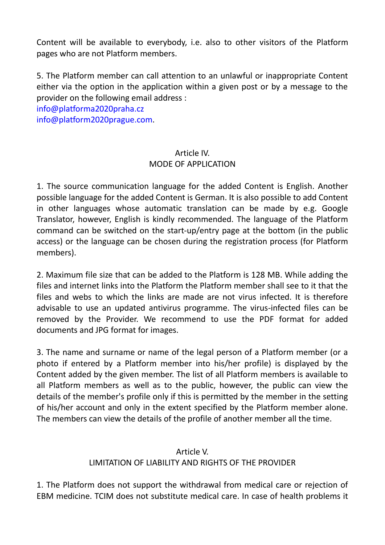Content will be available to everybody, i.e. also to other visitors of the Platform pages who are not Platform members.

5. The Platform member can call attention to an unlawful or inappropriate Content either via the option in the application within a given post or by a message to the provider on the following email address :

[info@platforma2020praha.cz](mailto:info@platforma2020praha.cz) [info@platform2020prague.com.](mailto:info@platform2020prague.com)

#### Article IV. MODE OF APPLICATION

1. The source communication language for the added Content is English. Another possible language for the added Content is German. It is also possible to add Content in other languages whose automatic translation can be made by e.g. Google Translator, however, English is kindly recommended. The language of the Platform command can be switched on the start-up/entry page at the bottom (in the public access) or the language can be chosen during the registration process (for Platform members).

2. Maximum file size that can be added to the Platform is 128 MB. While adding the files and internet links into the Platform the Platform member shall see to it that the files and webs to which the links are made are not virus infected. It is therefore advisable to use an updated antivirus programme. The virus-infected files can be removed by the Provider. We recommend to use the PDF format for added documents and JPG format for images.

3. The name and surname or name of the legal person of a Platform member (or a photo if entered by a Platform member into his/her profile) is displayed by the Content added by the given member. The list of all Platform members is available to all Platform members as well as to the public, however, the public can view the details of the member's profile only if this is permitted by the member in the setting of his/her account and only in the extent specified by the Platform member alone. The members can view the details of the profile of another member all the time.

#### Article V.

### LIMITATION OF LIABILITY AND RIGHTS OF THE PROVIDER

1. The Platform does not support the withdrawal from medical care or rejection of EBM medicine. TCIM does not substitute medical care. In case of health problems it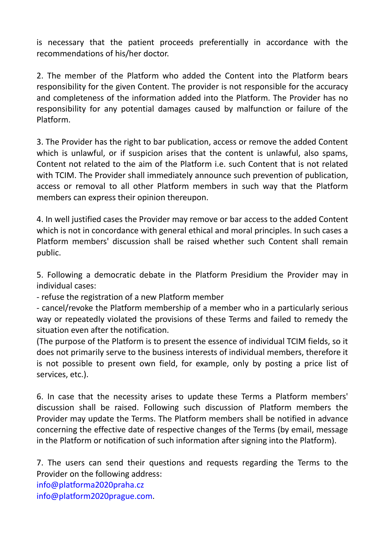is necessary that the patient proceeds preferentially in accordance with the recommendations of his/her doctor.

2. The member of the Platform who added the Content into the Platform bears responsibility for the given Content. The provider is not responsible for the accuracy and completeness of the information added into the Platform. The Provider has no responsibility for any potential damages caused by malfunction or failure of the Platform.

3. The Provider has the right to bar publication, access or remove the added Content which is unlawful, or if suspicion arises that the content is unlawful, also spams, Content not related to the aim of the Platform i.e. such Content that is not related with TCIM. The Provider shall immediately announce such prevention of publication, access or removal to all other Platform members in such way that the Platform members can express their opinion thereupon.

4. In well justified cases the Provider may remove or bar access to the added Content which is not in concordance with general ethical and moral principles. In such cases a Platform members' discussion shall be raised whether such Content shall remain public.

5. Following a democratic debate in the Platform Presidium the Provider may in individual cases:

- refuse the registration of a new Platform member

- cancel/revoke the Platform membership of a member who in a particularly serious way or repeatedly violated the provisions of these Terms and failed to remedy the situation even after the notification.

(The purpose of the Platform is to present the essence of individual TCIM fields, so it does not primarily serve to the business interests of individual members, therefore it is not possible to present own field, for example, only by posting a price list of services, etc.).

6. In case that the necessity arises to update these Terms a Platform members' discussion shall be raised. Following such discussion of Platform members the Provider may update the Terms. The Platform members shall be notified in advance concerning the effective date of respective changes of the Terms (by email, message in the Platform or notification of such information after signing into the Platform).

7. The users can send their questions and requests regarding the Terms to the Provider on the following address: [info@platforma2020praha.cz](mailto:info@platforma2020praha.cz) [info@platform2020prague.com.](mailto:info@platform2020prague.com)